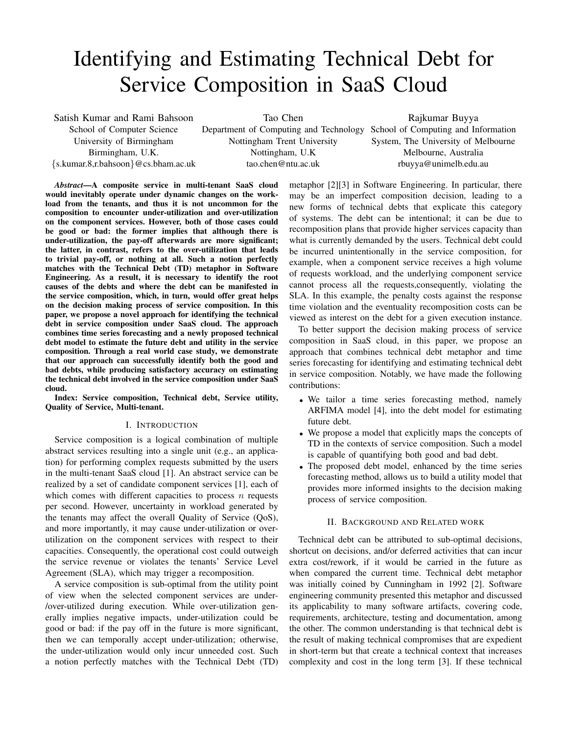# Identifying and Estimating Technical Debt for Service Composition in SaaS Cloud

Satish Kumar and Rami Bahsoon School of Computer Science University of Birmingham Birmingham, U.K. {s.kumar.8,r.bahsoon}@cs.bham.ac.uk

Tao Chen Department of Computing and Technology School of Computing and Information Nottingham Trent University Nottingham, U.K tao.chen@ntu.ac.uk

Rajkumar Buyya System, The University of Melbourne Melbourne, Australia rbuyya@unimelb.edu.au

*Abstract*—A composite service in multi-tenant SaaS cloud would inevitably operate under dynamic changes on the workload from the tenants, and thus it is not uncommon for the composition to encounter under-utilization and over-utilization on the component services. However, both of those cases could be good or bad: the former implies that although there is under-utilization, the pay-off afterwards are more significant; the latter, in contrast, refers to the over-utilization that leads to trivial pay-off, or nothing at all. Such a notion perfectly matches with the Technical Debt (TD) metaphor in Software Engineering. As a result, it is necessary to identify the root causes of the debts and where the debt can be manifested in the service composition, which, in turn, would offer great helps on the decision making process of service composition. In this paper, we propose a novel approach for identifying the technical debt in service composition under SaaS cloud. The approach combines time series forecasting and a newly proposed technical debt model to estimate the future debt and utility in the service composition. Through a real world case study, we demonstrate that our approach can successfully identify both the good and bad debts, while producing satisfactory accuracy on estimating the technical debt involved in the service composition under SaaS cloud.

Index: Service composition, Technical debt, Service utility, Quality of Service, Multi-tenant.

#### I. INTRODUCTION

Service composition is a logical combination of multiple abstract services resulting into a single unit (e.g., an application) for performing complex requests submitted by the users in the multi-tenant SaaS cloud [1]. An abstract service can be realized by a set of candidate component services [1], each of which comes with different capacities to process  $n$  requests per second. However, uncertainty in workload generated by the tenants may affect the overall Quality of Service (QoS), and more importantly, it may cause under-utilization or overutilization on the component services with respect to their capacities. Consequently, the operational cost could outweigh the service revenue or violates the tenants' Service Level Agreement (SLA), which may trigger a recomposition.

A service composition is sub-optimal from the utility point of view when the selected component services are under- /over-utilized during execution. While over-utilization generally implies negative impacts, under-utilization could be good or bad: if the pay off in the future is more significant, then we can temporally accept under-utilization; otherwise, the under-utilization would only incur unneeded cost. Such a notion perfectly matches with the Technical Debt (TD)

metaphor [2][3] in Software Engineering. In particular, there may be an imperfect composition decision, leading to a new forms of technical debts that explicate this category of systems. The debt can be intentional; it can be due to recomposition plans that provide higher services capacity than what is currently demanded by the users. Technical debt could be incurred unintentionally in the service composition, for example, when a component service receives a high volume of requests workload, and the underlying component service cannot process all the requests,consequently, violating the SLA. In this example, the penalty costs against the response time violation and the eventuality recomposition costs can be viewed as interest on the debt for a given execution instance.

To better support the decision making process of service composition in SaaS cloud, in this paper, we propose an approach that combines technical debt metaphor and time series forecasting for identifying and estimating technical debt in service composition. Notably, we have made the following contributions:

- We tailor a time series forecasting method, namely ARFIMA model [4], into the debt model for estimating future debt.
- We propose a model that explicitly maps the concepts of TD in the contexts of service composition. Such a model is capable of quantifying both good and bad debt.
- The proposed debt model, enhanced by the time series forecasting method, allows us to build a utility model that provides more informed insights to the decision making process of service composition.

### II. BACKGROUND AND RELATED WORK

Technical debt can be attributed to sub-optimal decisions, shortcut on decisions, and/or deferred activities that can incur extra cost/rework, if it would be carried in the future as when compared the current time. Technical debt metaphor was initially coined by Cunningham in 1992 [2]. Software engineering community presented this metaphor and discussed its applicability to many software artifacts, covering code, requirements, architecture, testing and documentation, among the other. The common understanding is that technical debt is the result of making technical compromises that are expedient in short-term but that create a technical context that increases complexity and cost in the long term [3]. If these technical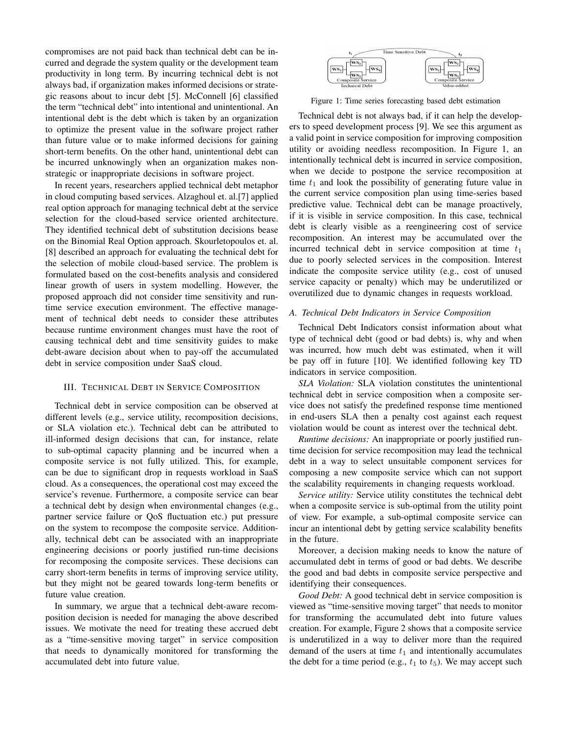compromises are not paid back than technical debt can be incurred and degrade the system quality or the development team productivity in long term. By incurring technical debt is not always bad, if organization makes informed decisions or strategic reasons about to incur debt [5]. McConnell [6] classified the term "technical debt" into intentional and unintentional. An intentional debt is the debt which is taken by an organization to optimize the present value in the software project rather than future value or to make informed decisions for gaining short-term benefits. On the other hand, unintentional debt can be incurred unknowingly when an organization makes nonstrategic or inappropriate decisions in software project.

In recent years, researchers applied technical debt metaphor in cloud computing based services. Alzaghoul et. al.[7] applied real option approach for managing technical debt at the service selection for the cloud-based service oriented architecture. They identified technical debt of substitution decisions bease on the Binomial Real Option approach. Skourletopoulos et. al. [8] described an approach for evaluating the technical debt for the selection of mobile cloud-based service. The problem is formulated based on the cost-benefits analysis and considered linear growth of users in system modelling. However, the proposed approach did not consider time sensitivity and runtime service execution environment. The effective management of technical debt needs to consider these attributes because runtime environment changes must have the root of causing technical debt and time sensitivity guides to make debt-aware decision about when to pay-off the accumulated debt in service composition under SaaS cloud.

# III. TECHNICAL DEBT IN SERVICE COMPOSITION

Technical debt in service composition can be observed at different levels (e.g., service utility, recomposition decisions, or SLA violation etc.). Technical debt can be attributed to ill-informed design decisions that can, for instance, relate to sub-optimal capacity planning and be incurred when a composite service is not fully utilized. This, for example, can be due to significant drop in requests workload in SaaS cloud. As a consequences, the operational cost may exceed the service's revenue. Furthermore, a composite service can bear a technical debt by design when environmental changes (e.g., partner service failure or QoS fluctuation etc.) put pressure on the system to recompose the composite service. Additionally, technical debt can be associated with an inappropriate engineering decisions or poorly justified run-time decisions for recomposing the composite services. These decisions can carry short-term benefits in terms of improving service utility, but they might not be geared towards long-term benefits or future value creation.

In summary, we argue that a technical debt-aware recomposition decision is needed for managing the above described issues. We motivate the need for treating these accrued debt as a "time-sensitive moving target" in service composition that needs to dynamically monitored for transforming the accumulated debt into future value.



Figure 1: Time series forecasting based debt estimation

Technical debt is not always bad, if it can help the developers to speed development process [9]. We see this argument as a valid point in service composition for improving composition utility or avoiding needless recomposition. In Figure 1, an intentionally technical debt is incurred in service composition, when we decide to postpone the service recomposition at time  $t_1$  and look the possibility of generating future value in the current service composition plan using time-series based predictive value. Technical debt can be manage proactively, if it is visible in service composition. In this case, technical debt is clearly visible as a reengineering cost of service recomposition. An interest may be accumulated over the incurred technical debt in service composition at time  $t_1$ due to poorly selected services in the composition. Interest indicate the composite service utility (e.g., cost of unused service capacity or penalty) which may be underutilized or overutilized due to dynamic changes in requests workload.

#### *A. Technical Debt Indicators in Service Composition*

Technical Debt Indicators consist information about what type of technical debt (good or bad debts) is, why and when was incurred, how much debt was estimated, when it will be pay off in future [10]. We identified following key TD indicators in service composition.

*SLA Violation:* SLA violation constitutes the unintentional technical debt in service composition when a composite service does not satisfy the predefined response time mentioned in end-users SLA then a penalty cost against each request violation would be count as interest over the technical debt.

*Runtime decisions:* An inappropriate or poorly justified runtime decision for service recomposition may lead the technical debt in a way to select unsuitable component services for composing a new composite service which can not support the scalability requirements in changing requests workload.

*Service utility:* Service utility constitutes the technical debt when a composite service is sub-optimal from the utility point of view. For example, a sub-optimal composite service can incur an intentional debt by getting service scalability benefits in the future.

Moreover, a decision making needs to know the nature of accumulated debt in terms of good or bad debts. We describe the good and bad debts in composite service perspective and identifying their consequences.

*Good Debt:* A good technical debt in service composition is viewed as "time-sensitive moving target" that needs to monitor for transforming the accumulated debt into future values creation. For example, Figure 2 shows that a composite service is underutilized in a way to deliver more than the required demand of the users at time  $t_1$  and intentionally accumulates the debt for a time period (e.g.,  $t_1$  to  $t_5$ ). We may accept such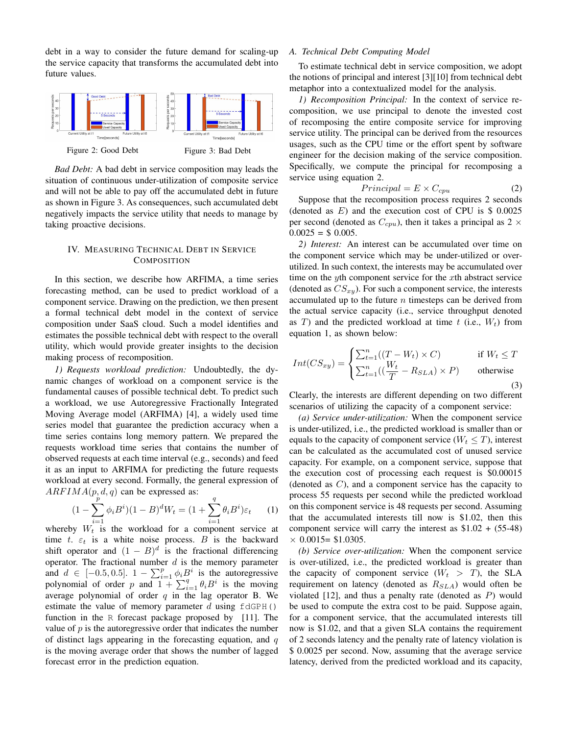debt in a way to consider the future demand for scaling-up the service capacity that transforms the accumulated debt into future values.



*Bad Debt:* A bad debt in service composition may leads the situation of continuous under-utilization of composite service and will not be able to pay off the accumulated debt in future as shown in Figure 3. As consequences, such accumulated debt negatively impacts the service utility that needs to manage by taking proactive decisions.

# IV. MEASURING TECHNICAL DEBT IN SERVICE **COMPOSITION**

In this section, we describe how ARFIMA, a time series forecasting method, can be used to predict workload of a component service. Drawing on the prediction, we then present a formal technical debt model in the context of service composition under SaaS cloud. Such a model identifies and estimates the possible technical debt with respect to the overall utility, which would provide greater insights to the decision making process of recomposition.

*1) Requests workload prediction:* Undoubtedly, the dynamic changes of workload on a component service is the fundamental causes of possible technical debt. To predict such a workload, we use Autoregressive Fractionally Integrated Moving Average model (ARFIMA) [4], a widely used time series model that guarantee the prediction accuracy when a time series contains long memory pattern. We prepared the requests workload time series that contains the number of observed requests at each time interval (e.g., seconds) and feed it as an input to ARFIMA for predicting the future requests workload at every second. Formally, the general expression of  $ARFIMA(p, d, q)$  can be expressed as:

$$
(1 - \sum_{i=1}^{q} \phi_i B^i)(1 - B)^d W_t = (1 + \sum_{i=1}^{q} \theta_i B^i) \varepsilon_t \tag{1}
$$

whereby  $W_t$  is the workload for a component service at time t.  $\varepsilon_t$  is a white noise process. B is the backward shift operator and  $(1 - B)^d$  is the fractional differencing operator. The fractional number  $d$  is the memory parameter and  $d \in [-0.5, 0.5]$ .  $1 - \sum_{i=1}^{p} \phi_i B^i$  is the autoregressive polynomial of order p and  $1 + \sum_{i=1}^{q} \theta_i B^i$  is the moving average polynomial of order  $q$  in the lag operator B. We estimate the value of memory parameter  $d$  using  $f \text{dGPH}(t)$ function in the R forecast package proposed by [11]. The value of  $p$  is the autoregressive order that indicates the number of distinct lags appearing in the forecasting equation, and  $q$ is the moving average order that shows the number of lagged forecast error in the prediction equation.

# *A. Technical Debt Computing Model*

To estimate technical debt in service composition, we adopt the notions of principal and interest [3][10] from technical debt metaphor into a contextualized model for the analysis.

*1) Recomposition Principal:* In the context of service recomposition, we use principal to denote the invested cost of recomposing the entire composite service for improving service utility. The principal can be derived from the resources usages, such as the CPU time or the effort spent by software engineer for the decision making of the service composition. Specifically, we compute the principal for recomposing a service using equation 2.

$$
Principal = E \times C_{cpu} \tag{2}
$$

Suppose that the recomposition process requires 2 seconds (denoted as  $E$ ) and the execution cost of CPU is \$ 0.0025 per second (denoted as  $C_{cpu}$ ), then it takes a principal as 2  $\times$  $0.0025 = $ 0.005.$ 

*2) Interest:* An interest can be accumulated over time on the component service which may be under-utilized or overutilized. In such context, the interests may be accumulated over time on the  $y$ th component service for the  $x$ th abstract service (denoted as  $CS_{xy}$ ). For such a component service, the interests accumulated up to the future  $n$  timesteps can be derived from the actual service capacity (i.e., service throughput denoted as T) and the predicted workload at time  $t$  (i.e.,  $W_t$ ) from equation 1, as shown below:

$$
Int(CS_{xy}) = \begin{cases} \sum_{t=1}^{n} ((T - W_t) \times C) & \text{if } W_t \le T \\ \sum_{t=1}^{n} ((\frac{W_t}{T} - R_{SLA}) \times P) & \text{otherwise} \end{cases}
$$
(3)

Clearly, the interests are different depending on two different scenarios of utilizing the capacity of a component service:

*(a) Service under-utilization:* When the component service is under-utilized, i.e., the predicted workload is smaller than or equals to the capacity of component service ( $W_t \leq T$ ), interest can be calculated as the accumulated cost of unused service capacity. For example, on a component service, suppose that the execution cost of processing each request is \$0.00015 (denoted as C), and a component service has the capacity to process 55 requests per second while the predicted workload on this component service is 48 requests per second. Assuming that the accumulated interests till now is \$1.02, then this component service will carry the interest as  $$1.02 + (55-48)$  $\times$  0.0015= \$1.0305.

*(b) Service over-utilization:* When the component service is over-utilized, i.e., the predicted workload is greater than the capacity of component service  $(W_t > T)$ , the SLA requirement on latency (denoted as  $R_{SLA}$ ) would often be violated  $[12]$ , and thus a penalty rate (denoted as  $P$ ) would be used to compute the extra cost to be paid. Suppose again, for a component service, that the accumulated interests till now is \$1.02, and that a given SLA contains the requirement of 2 seconds latency and the penalty rate of latency violation is \$ 0.0025 per second. Now, assuming that the average service latency, derived from the predicted workload and its capacity,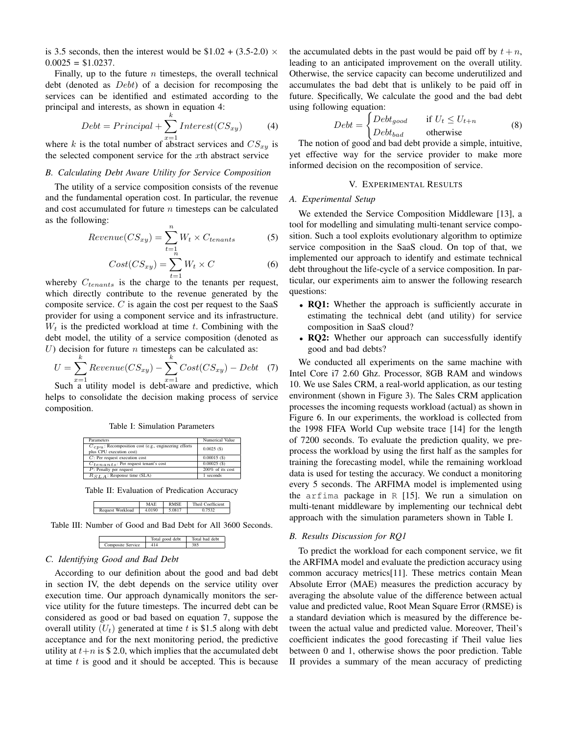is 3.5 seconds, then the interest would be  $$1.02 + (3.5-2.0) \times$  $0.0025 = $1.0237$ .

Finally, up to the future  $n$  timesteps, the overall technical debt (denoted as Debt) of a decision for recomposing the services can be identified and estimated according to the principal and interests, as shown in equation 4:

$$
Debt = Principal + \sum_{x=1}^{k} Interest(CS_{xy})
$$
 (4)

where k is the total number of abstract services and  $CS_{xy}$  is the selected component service for the xth abstract service

## *B. Calculating Debt Aware Utility for Service Composition*

The utility of a service composition consists of the revenue and the fundamental operation cost. In particular, the revenue and cost accumulated for future  $n$  timesteps can be calculated as the following:

$$
Revenue(CS_{xy}) = \sum_{t=1}^{n} W_t \times C_{tenants}
$$
 (5)

$$
Cost(CS_{xy}) = \sum_{t=1}^{\hat{n}} W_t \times C \tag{6}
$$

whereby  $C_{tenants}$  is the charge to the tenants per request, which directly contribute to the revenue generated by the composite service.  $C$  is again the cost per request to the SaaS provider for using a component service and its infrastructure.  $W_t$  is the predicted workload at time t. Combining with the debt model, the utility of a service composition (denoted as U) decision for future  $n$  timesteps can be calculated as:

$$
U = \sum_{x=1}^{k} Revenue(CS_{xy}) - \sum_{x=1}^{k} Cost(CS_{xy}) - Debt
$$
 (7)

Such a utility model is debt-aware and predictive, which helps to consolidate the decision making process of service composition.

Table I: Simulation Parameters

| Parameters                                                                            | Numerical Value  |
|---------------------------------------------------------------------------------------|------------------|
| $C_{CDU}$ : Recomposition cost (e.g., engineering efforts<br>plus CPU execution cost) | 0.0025(S)        |
| $C$ : Per request execution cost                                                      | $0.00015($ \$)   |
| $C_{tenants}$ : Per request tenant's cost                                             | $0.00025($ \$)   |
| $P$ : Penalty per request                                                             | 200% of its cost |
| $R_{S,I,A}$ : Response time (SLA)                                                     | 1 seconds        |

Table II: Evaluation of Predication Accuracy

|                     |        | Theil<br>`oefficient |
|---------------------|--------|----------------------|
| Workload<br>Request | 4.0190 |                      |
|                     |        |                      |

Table III: Number of Good and Bad Debt for All 3600 Seconds.



# *C. Identifying Good and Bad Debt*

According to our definition about the good and bad debt in section IV, the debt depends on the service utility over execution time. Our approach dynamically monitors the service utility for the future timesteps. The incurred debt can be considered as good or bad based on equation 7, suppose the overall utility  $(U_t)$  generated at time t is \$1.5 along with debt acceptance and for the next monitoring period, the predictive utility at  $t+n$  is \$ 2.0, which implies that the accumulated debt at time  $t$  is good and it should be accepted. This is because the accumulated debts in the past would be paid off by  $t + n$ , leading to an anticipated improvement on the overall utility. Otherwise, the service capacity can become underutilized and accumulates the bad debt that is unlikely to be paid off in future. Specifically, We calculate the good and the bad debt using following equation:

$$
Debt = \begin{cases} Debt_{good} & \text{if } U_t \le U_{t+n} \\ Debt_{bad} & \text{otherwise} \end{cases}
$$
 (8)

The notion of good and bad debt provide a simple, intuitive, yet effective way for the service provider to make more informed decision on the recomposition of service.

## V. EXPERIMENTAL RESULTS

## *A. Experimental Setup*

We extended the Service Composition Middleware [13], a tool for modelling and simulating multi-tenant service composition. Such a tool exploits evolutionary algorithm to optimize service composition in the SaaS cloud. On top of that, we implemented our approach to identify and estimate technical debt throughout the life-cycle of a service composition. In particular, our experiments aim to answer the following research questions:

- RQ1: Whether the approach is sufficiently accurate in estimating the technical debt (and utility) for service composition in SaaS cloud?
- RQ2: Whether our approach can successfully identify good and bad debts?

We conducted all experiments on the same machine with Intel Core i7 2.60 Ghz. Processor, 8GB RAM and windows 10. We use Sales CRM, a real-world application, as our testing environment (shown in Figure 3). The Sales CRM application processes the incoming requests workload (actual) as shown in Figure 6. In our experiments, the workload is collected from the 1998 FIFA World Cup website trace [14] for the length of 7200 seconds. To evaluate the prediction quality, we preprocess the workload by using the first half as the samples for training the forecasting model, while the remaining workload data is used for testing the accuracy. We conduct a monitoring every 5 seconds. The ARFIMA model is implemented using the arfima package in R [15]. We run a simulation on multi-tenant middleware by implementing our technical debt approach with the simulation parameters shown in Table I.

## *B. Results Discussion for RQ1*

To predict the workload for each component service, we fit the ARFIMA model and evaluate the prediction accuracy using common accuracy metrics[11]. These metrics contain Mean Absolute Error (MAE) measures the prediction accuracy by averaging the absolute value of the difference between actual value and predicted value, Root Mean Square Error (RMSE) is a standard deviation which is measured by the difference between the actual value and predicted value. Moreover, Theil's coefficient indicates the good forecasting if Theil value lies between 0 and 1, otherwise shows the poor prediction. Table II provides a summary of the mean accuracy of predicting